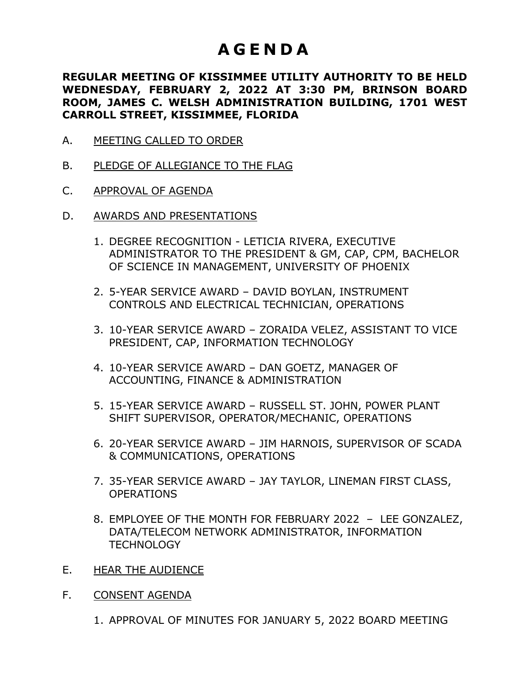# **A G E N D A**

#### **REGULAR MEETING OF KISSIMMEE UTILITY AUTHORITY TO BE HELD WEDNESDAY, FEBRUARY 2, 2022 AT 3:30 PM, BRINSON BOARD ROOM, JAMES C. WELSH ADMINISTRATION BUILDING, 1701 WEST CARROLL STREET, KISSIMMEE, FLORIDA**

- A. MEETING CALLED TO ORDER
- B. PLEDGE OF ALLEGIANCE TO THE FLAG
- C. APPROVAL OF AGENDA
- D. AWARDS AND PRESENTATIONS
	- 1. DEGREE RECOGNITION LETICIA RIVERA, EXECUTIVE ADMINISTRATOR TO THE PRESIDENT & GM, CAP, CPM, BACHELOR OF SCIENCE IN MANAGEMENT, UNIVERSITY OF PHOENIX
	- 2. 5-YEAR SERVICE AWARD DAVID BOYLAN, INSTRUMENT CONTROLS AND ELECTRICAL TECHNICIAN, OPERATIONS
	- 3. 10-YEAR SERVICE AWARD ZORAIDA VELEZ, ASSISTANT TO VICE PRESIDENT, CAP, INFORMATION TECHNOLOGY
	- 4. 10-YEAR SERVICE AWARD DAN GOETZ, MANAGER OF ACCOUNTING, FINANCE & ADMINISTRATION
	- 5. 15-YEAR SERVICE AWARD RUSSELL ST. JOHN, POWER PLANT SHIFT SUPERVISOR, OPERATOR/MECHANIC, OPERATIONS
	- 6. 20-YEAR SERVICE AWARD JIM HARNOIS, SUPERVISOR OF SCADA & COMMUNICATIONS, OPERATIONS
	- 7. 35-YEAR SERVICE AWARD JAY TAYLOR, LINEMAN FIRST CLASS, OPERATIONS
	- 8. EMPLOYEE OF THE MONTH FOR FEBRUARY 2022 LEE GONZALEZ, DATA/TELECOM NETWORK ADMINISTRATOR, INFORMATION **TECHNOLOGY**
- E. HEAR THE AUDIENCE
- F. CONSENT AGENDA
	- 1. APPROVAL OF MINUTES FOR JANUARY 5, 2022 BOARD MEETING